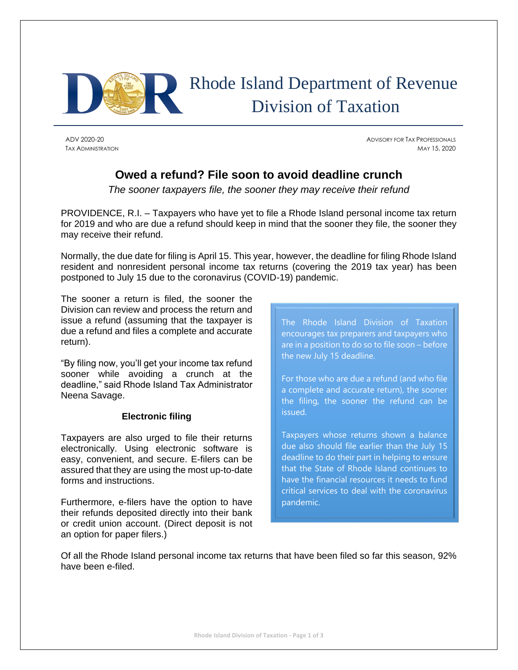

# Rhode Island Department of Revenue Division of Taxation

ADV 2020-20 ADVISORY FOR TAX PROFESSIONALS TAX ADMINISTRATION MAY 15, 2020

# **Owed a refund? File soon to avoid deadline crunch**

*The sooner taxpayers file, the sooner they may receive their refund*

PROVIDENCE, R.I. – Taxpayers who have yet to file a Rhode Island personal income tax return for 2019 and who are due a refund should keep in mind that the sooner they file, the sooner they may receive their refund.

Normally, the due date for filing is April 15. This year, however, the deadline for filing Rhode Island resident and nonresident personal income tax returns (covering the 2019 tax year) has been postponed to July 15 due to the coronavirus (COVID-19) pandemic.

The sooner a return is filed, the sooner the Division can review and process the return and issue a refund (assuming that the taxpayer is due a refund and files a complete and accurate return).

"By filing now, you'll get your income tax refund sooner while avoiding a crunch at the deadline," said Rhode Island Tax Administrator Neena Savage.

# **Electronic filing**

Taxpayers are also urged to file their returns electronically. Using electronic software is easy, convenient, and secure. E-filers can be assured that they are using the most up-to-date forms and instructions.

Furthermore, e-filers have the option to have their refunds deposited directly into their bank or credit union account. (Direct deposit is not an option for paper filers.)

The Rhode Island Division of Taxation encourages tax preparers and taxpayers who are in a position to do so to file soon – before the new July 15 deadline.

For those who are due a refund (and who file a complete and accurate return), the sooner the filing, the sooner the refund can be issued.

Taxpayers whose returns shown a balance due also should file earlier than the July 15 deadline to do their part in helping to ensure that the State of Rhode Island continues to have the financial resources it needs to fund critical services to deal with the coronavirus pandemic.

Of all the Rhode Island personal income tax returns that have been filed so far this season, 92% have been e-filed.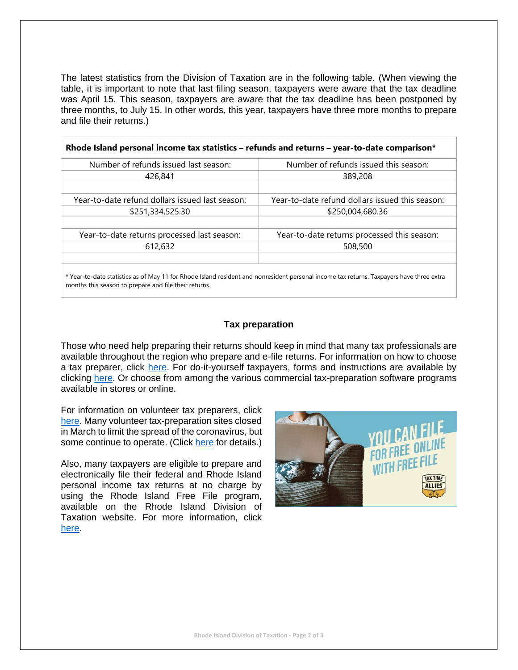The latest statistics from the Division of Taxation are in the following table. (When viewing the table, it is important to note that last filing season, taxpayers were aware that the tax deadline was April 15. This season, taxpayers are aware that the tax deadline has been postponed by three months, to July 15. In other words, this year, taxpayers have three more months to prepare and file their returns.)

| Rhode Island personal income tax statistics – refunds and returns – year-to-date comparison* |                                                 |
|----------------------------------------------------------------------------------------------|-------------------------------------------------|
| Number of refunds issued last season:                                                        | Number of refunds issued this season:           |
| 426,841                                                                                      | 389,208                                         |
|                                                                                              |                                                 |
| Year-to-date refund dollars issued last season:                                              | Year-to-date refund dollars issued this season: |
| \$251,334,525.30                                                                             | \$250,004,680.36                                |
|                                                                                              |                                                 |
| Year-to-date returns processed last season:                                                  | Year-to-date returns processed this season:     |
| 612,632                                                                                      | 508,500                                         |
|                                                                                              |                                                 |
|                                                                                              |                                                 |

\* Year-to-date statistics as of May 11 for Rhode Island resident and nonresident personal income tax returns. Taxpayers have three extra months this season to prepare and file their returns.

#### **Tax preparation**

Those who need help preparing their returns should keep in mind that many tax professionals are available throughout the region who prepare and e-file returns. For information on how to choose a tax preparer, click [here.](https://www.irs.gov/tax-professionals/choosing-a-tax-professional) For do-it-yourself taxpayers, forms and instructions are available by clicking [here.](http://www.tax.ri.gov/taxforms/personal.php) Or choose from among the various commercial tax-preparation software programs available in stores or online.

For information on volunteer tax preparers, click [here.](https://www.irs.gov/individuals/free-tax-return-preparation-for-you-by-volunteers) Many volunteer tax-preparation sites closed in March to limit the spread of the coronavirus, but some continue to operate. (Click [here](http://www.tax.ri.gov/COVID/) for details.)

Also, many taxpayers are eligible to prepare and electronically file their federal and Rhode Island personal income tax returns at no charge by using the Rhode Island Free File program, available on the Rhode Island Division of Taxation website. For more information, click [here.](http://www.tax.ri.gov/misc/efile.php)